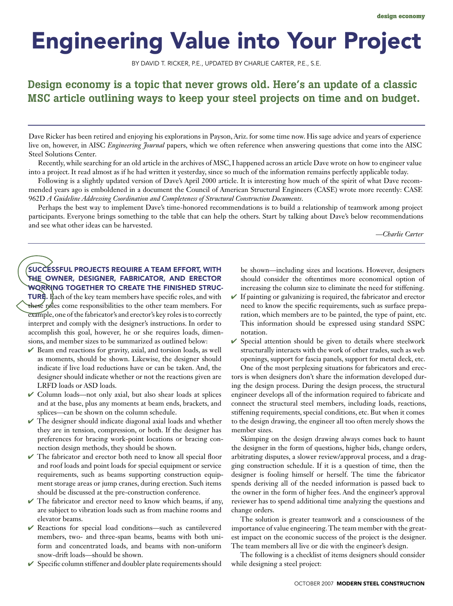## Engineering Value into Your Project

By David T. Ricker, P.E., updated by Charlie Carter, P.E., S.E.

## Design economy is a topic that never grows old. Here's an update of a classic MSC article outlining ways to keep your steel projects on time and on budget.

Dave Ricker has been retired and enjoying his explorations in Payson, Ariz. for some time now. His sage advice and years of experience live on, however, in AISC *Engineering Journal* papers, which we often reference when answering questions that come into the AISC Steel Solutions Center.

Recently, while searching for an old article in the archives of MSC, I happened across an article Dave wrote on how to engineer value into a project. It read almost as if he had written it yesterday, since so much of the information remains perfectly applicable today.

Following is a slightly updated version of Dave's April 2000 article. It is interesting how much of the spirit of what Dave recommended years ago is emboldened in a document the Council of American Structural Engineers (CASE) wrote more recently: CASE 962D *A Guideline Addressing Coordination and Completeness of Structural Construction Documents*.

Perhaps the best way to implement Dave's time-honored recommendations is to build a relationship of teamwork among project participants. Everyone brings something to the table that can help the others. Start by talking about Dave's below recommendations and see what other ideas can be harvested.

*—Charlie Carter*

## SUCCESSFUL PROJECTS REQUIRE A TEAM EFFORT, WITH the owner, designer, fabricator, and erector working together to create the finished struc-

**TURE.** Each of the key team members have specific roles, and with these roles come responsibilities to the other team members. For example, one of the fabricator's and erector's key roles is to correctly interpret and comply with the designer's instructions. In order to accomplish this goal, however, he or she requires loads, dimensions, and member sizes to be summarized as outlined below:

- $\vee$  Beam end reactions for gravity, axial, and torsion loads, as well as moments, should be shown. Likewise, the designer should indicate if live load reductions have or can be taken. And, the designer should indicate whether or not the reactions given are LRFD loads or ASD loads.
- ✔ Column loads—not only axial, but also shear loads at splices and at the base, plus any moments at beam ends, brackets, and splices—can be shown on the column schedule.
- $\vee$  The designer should indicate diagonal axial loads and whether they are in tension, compression, or both. If the designer has preferences for bracing work-point locations or bracing connection design methods, they should be shown.
- $\checkmark$  The fabricator and erector both need to know all special floor and roof loads and point loads for special equipment or service requirements, such as beams supporting construction equipment storage areas or jump cranes, during erection. Such items should be discussed at the pre-construction conference.
- $\checkmark$  The fabricator and erector need to know which beams, if any, are subject to vibration loads such as from machine rooms and elevator beams.
- ✔ Reactions for special load conditions—such as cantilevered members, two- and three-span beams, beams with both uniform and concentrated loads, and beams with non-uniform snow-drift loads—should be shown.
- $\vee$  Specific column stiffener and doubler plate requirements should

be shown—including sizes and locations. However, designers should consider the oftentimes more economical option of increasing the column size to eliminate the need for stiffening.

- $\vee$  If painting or galvanizing is required, the fabricator and erector need to know the specific requirements, such as surface preparation, which members are to be painted, the type of paint, etc. This information should be expressed using standard SSPC notation.
- $\checkmark$  Special attention should be given to details where steelwork structurally interacts with the work of other trades, such as web openings, support for fascia panels, support for metal deck, etc.

One of the most perplexing situations for fabricators and erectors is when designers don't share the information developed during the design process. During the design process, the structural engineer develops all of the information required to fabricate and connect the structural steel members, including loads, reactions, stiffening requirements, special conditions, etc. But when it comes to the design drawing, the engineer all too often merely shows the member sizes.

Skimping on the design drawing always comes back to haunt the designer in the form of questions, higher bids, change orders, arbitrating disputes, a slower review/approval process, and a dragging construction schedule. If it is a question of time, then the designer is fooling himself or herself. The time the fabricator spends deriving all of the needed information is passed back to the owner in the form of higher fees. And the engineer's approval reviewer has to spend additional time analyzing the questions and change orders.

The solution is greater teamwork and a consciousness of the importance of value engineering. The team member with the greatest impact on the economic success of the project is the designer. The team members all live or die with the engineer's design.

The following is a checklist of items designers should consider while designing a steel project: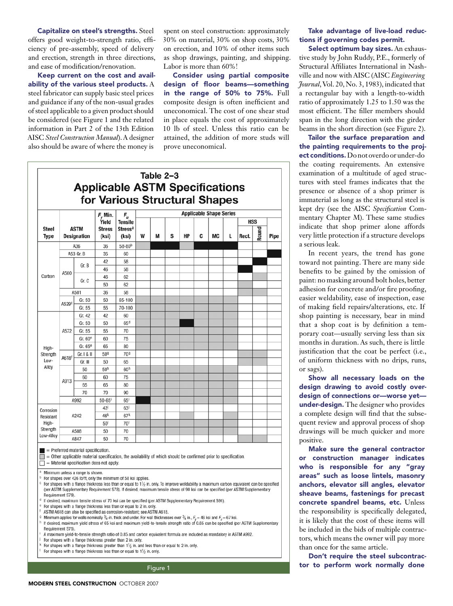Capitalize on steel's strengths. Steel offers good weight-to-strength ratio, efficiency of pre-assembly, speed of delivery and erection, strength in three directions, and ease of modification/renovation.

Keep current on the cost and availability of the various steel products. A steel fabricator can supply basic steel prices and guidance if any of the non-usual grades of steel applicable to a given product should be considered (see Figure 1 and the related information in Part 2 of the 13th Edition AISC *Steel Construction Manual*). A designer also should be aware of where the money is

spent on steel construction: approximately 30% on material, 30% on shop costs, 30% on erection, and 10% of other items such as shop drawings, painting, and shipping. Labor is more than 60%!

Consider using partial composite design of floor beams—something in the range of 50% to 75%. Full composite design is often inefficient and uneconomical. The cost of one shear stud in place equals the cost of approximately 10 lb of steel. Unless this ratio can be attained, the addition of more studs will prove uneconomical.



## Take advantage of live-load reductions if governing codes permit.

Select optimum bay sizes. An exhaustive study by John Ruddy, P.E., formerly of Structural Affiliates International in Nashville and now with AISC (AISC *Engineering Journal*, Vol. 20, No. 3, 1983), indicated that a rectangular bay with a length-to-width ratio of approximately 1.25 to 1.50 was the most efficient. The filler members should span in the long direction with the girder beams in the short direction (see Figure 2).

Tailor the surface preparation and the painting requirements to the project conditions. Do not overdo or under-do the coating requirements. An extensive examination of a multitude of aged structures with steel frames indicates that the presence or absence of a shop primer is immaterial as long as the structural steel is kept dry (see the AISC *Specification* Commentary Chapter M). These same studies indicate that shop primer alone affords very little protection if a structure develops a serious leak.

In recent years, the trend has gone toward not painting. There are many side benefits to be gained by the omission of paint: no masking around bolt holes, better adhesion for concrete and/or fire proofing, easier weldability, ease of inspection, ease of making field repairs/alterations, etc. If shop painting is necessary, bear in mind that a shop coat is by definition a temporary coat—usually serving less than six months in duration. As such, there is little justification that the coat be perfect (i.e., of uniform thickness with no drips, runs, or sags).

Show all necessary loads on the design drawing to avoid costly overdesign of connections or—worse yet under-design. The designer who provides a complete design will find that the subsequent review and approval process of shop drawings will be much quicker and more positive.

Make sure the general contractor or construction manager indicates who is responsible for any "gray areas" such as loose lintels, masonry anchors, elevator sill angles, elevator sheave beams, fastenings for precast concrete spandrel beams, etc. Unless the responsibility is specifically delegated, it is likely that the cost of these items will be included in the bids of multiple contractors, which means the owner will pay more than once for the same article.

Don't require the steel subcontrac-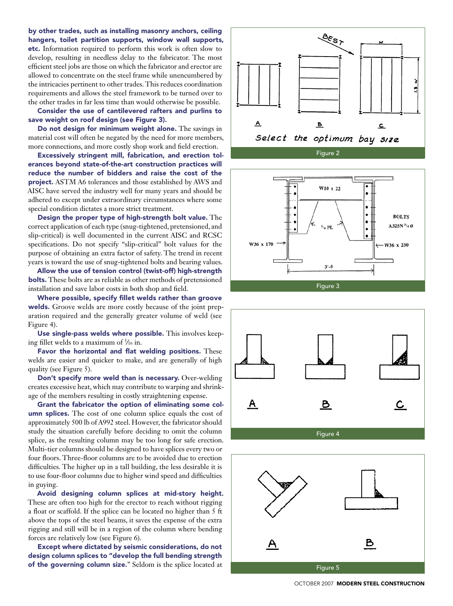by other trades, such as installing masonry anchors, ceiling hangers, toilet partition supports, window wall supports, etc. Information required to perform this work is often slow to develop, resulting in needless delay to the fabricator. The most efficient steel jobs are those on which the fabricator and erector are allowed to concentrate on the steel frame while unencumbered by the intricacies pertinent to other trades. This reduces coordination requirements and allows the steel framework to be turned over to the other trades in far less time than would otherwise be possible.

Consider the use of cantilevered rafters and purlins to save weight on roof design (see Figure 3).

Do not design for minimum weight alone. The savings in material cost will often be negated by the need for more members, more connections, and more costly shop work and field erection.

Excessively stringent mill, fabrication, and erection tolerances beyond state-of-the-art construction practices will reduce the number of bidders and raise the cost of the project. ASTM A6 tolerances and those established by AWS and AISC have served the industry well for many years and should be adhered to except under extraordinary circumstances where some special condition dictates a more strict treatment.

Design the proper type of high-strength bolt value. The correct application of each type (snug-tightened, pretensioned, and slip-critical) is well documented in the current AISC and RCSC specifications. Do not specify "slip-critical" bolt values for the purpose of obtaining an extra factor of safety. The trend in recent years is toward the use of snug-tightened bolts and bearing values.

Allow the use of tension control (twist-off) high-strength **bolts.** These bolts are as reliable as other methods of pretensioned installation and save labor costs in both shop and field.

Where possible, specify fillet welds rather than groove welds. Groove welds are more costly because of the joint preparation required and the generally greater volume of weld (see Figure 4).

Use single-pass welds where possible. This involves keeping fillet welds to a maximum of 5⁄16 in.

Favor the horizontal and flat welding positions. These welds are easier and quicker to make, and are generally of high quality (see Figure 5).

Don't specify more weld than is necessary. Over-welding creates excessive heat, which may contribute to warping and shrinkage of the members resulting in costly straightening expense.

Grant the fabricator the option of eliminating some column splices. The cost of one column splice equals the cost of approximately 500 lb of A992 steel. However, the fabricator should study the situation carefully before deciding to omit the column splice, as the resulting column may be too long for safe erection. Multi-tier columns should be designed to have splices every two or four floors. Three-floor columns are to be avoided due to erection difficulties. The higher up in a tall building, the less desirable it is to use four-floor columns due to higher wind speed and difficulties in guying.

Avoid designing column splices at mid-story height. These are often too high for the erector to reach without rigging a float or scaffold. If the splice can be located no higher than 5 ft above the tops of the steel beams, it saves the expense of the extra rigging and still will be in a region of the column where bending forces are relatively low (see Figure 6).

Except where dictated by seismic considerations, do not design column splices to "develop the full bending strength of the governing column size." Seldom is the splice located at









October 2007MODERN STEEL CONSTRUCTION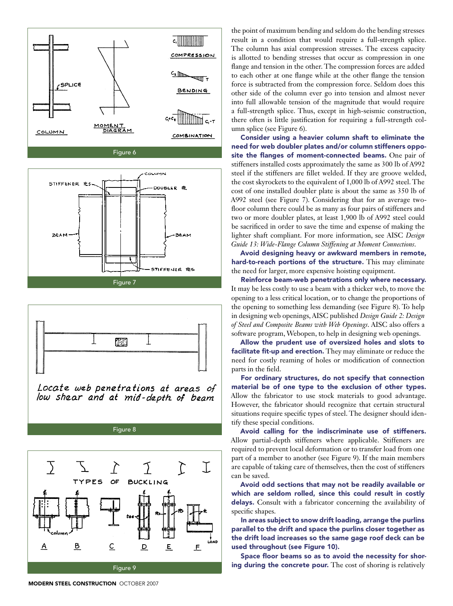

Figure 6





Locate web penetrations at areas of low shear and at mid-depth of beam

Figure 8



the point of maximum bending and seldom do the bending stresses result in a condition that would require a full-strength splice. The column has axial compression stresses. The excess capacity is allotted to bending stresses that occur as compression in one flange and tension in the other. The compression forces are added to each other at one flange while at the other flange the tension force is subtracted from the compression force. Seldom does this other side of the column ever go into tension and almost never into full allowable tension of the magnitude that would require a full-strength splice. Thus, except in high-seismic construction, there often is little justification for requiring a full-strength column splice (see Figure 6).

Consider using a heavier column shaft to eliminate the need for web doubler plates and/or column stiffeners opposite the flanges of moment-connected beams. One pair of stiffeners installed costs approximately the same as 300 lb of A992 steel if the stiffeners are fillet welded. If they are groove welded, the cost skyrockets to the equivalent of 1,000 lb of A992 steel. The cost of one installed doubler plate is about the same as 350 lb of A992 steel (see Figure 7). Considering that for an average twofloor column there could be as many as four pairs of stiffeners and two or more doubler plates, at least 1,900 lb of A992 steel could be sacrificed in order to save the time and expense of making the lighter shaft compliant. For more information, see AISC *Design Guide 13: Wide-Flange Column Stiffening at Moment Connections*.

Avoid designing heavy or awkward members in remote, hard-to-reach portions of the structure. This may eliminate the need for larger, more expensive hoisting equipment.

Reinforce beam-web penetrations only where necessary. It may be less costly to use a beam with a thicker web, to move the opening to a less critical location, or to change the proportions of the opening to something less demanding (see Figure 8). To help in designing web openings, AISC published *Design Guide 2: Design of Steel and Composite Beams with Web Openings*. AISC also offers a software program, Webopen, to help in designing web openings.

Allow the prudent use of oversized holes and slots to facilitate fit-up and erection. They may eliminate or reduce the need for costly reaming of holes or modification of connection parts in the field.

For ordinary structures, do not specify that connection material be of one type to the exclusion of other types. Allow the fabricator to use stock materials to good advantage. However, the fabricator should recognize that certain structural situations require specific types of steel. The designer should identify these special conditions.

Avoid calling for the indiscriminate use of stiffeners. Allow partial-depth stiffeners where applicable. Stiffeners are required to prevent local deformation or to transfer load from one part of a member to another (see Figure 9). If the main members are capable of taking care of themselves, then the cost of stiffeners can be saved.

Avoid odd sections that may not be readily available or which are seldom rolled, since this could result in costly delays. Consult with a fabricator concerning the availability of specific shapes.

In areas subject to snow drift loading, arrange the purlins parallel to the drift and space the purlins closer together as the drift load increases so the same gage roof deck can be used throughout (see Figure 10).

Space floor beams so as to avoid the necessity for shoring during the concrete pour. The cost of shoring is relatively

**MODERN STEEL CONSTRUCTION OCTOBER 2007**